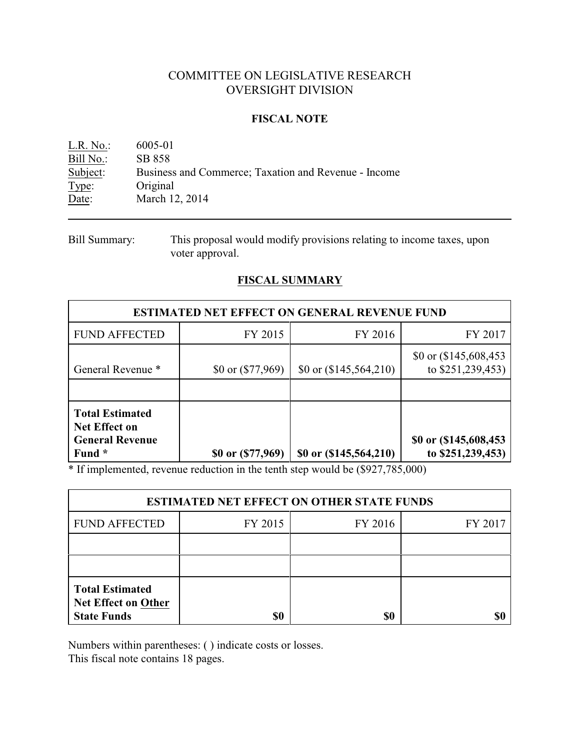# COMMITTEE ON LEGISLATIVE RESEARCH OVERSIGHT DIVISION

## **FISCAL NOTE**

| $L.R. No.$ : | 6005-01                                              |
|--------------|------------------------------------------------------|
| Bill No.:    | SB 858                                               |
| Subject:     | Business and Commerce; Taxation and Revenue - Income |
| Type:        | Original                                             |
| Date:        | March 12, 2014                                       |

Bill Summary: This proposal would modify provisions relating to income taxes, upon voter approval.

# **FISCAL SUMMARY**

| <b>ESTIMATED NET EFFECT ON GENERAL REVENUE FUND</b>                                |                    |                          |                                              |  |  |
|------------------------------------------------------------------------------------|--------------------|--------------------------|----------------------------------------------|--|--|
| <b>FUND AFFECTED</b>                                                               | FY 2015            | FY 2016                  | FY 2017                                      |  |  |
| General Revenue *                                                                  | \$0 or $(17, 969)$ | \$0 or $(\$145,564,210)$ | \$0 or $(\$145,608,453$<br>to \$251,239,453) |  |  |
|                                                                                    |                    |                          |                                              |  |  |
| <b>Total Estimated</b><br><b>Net Effect on</b><br><b>General Revenue</b><br>Fund * | \$0 or $($ 77,969) | \$0 or $(145, 564, 210)$ | \$0 or (\$145,608,453)<br>to \$251,239,453)  |  |  |

\* If implemented, revenue reduction in the tenth step would be (\$927,785,000)

| <b>ESTIMATED NET EFFECT ON OTHER STATE FUNDS</b>                    |                               |     |  |  |  |  |
|---------------------------------------------------------------------|-------------------------------|-----|--|--|--|--|
| <b>FUND AFFECTED</b>                                                | FY 2016<br>FY 2015<br>FY 2017 |     |  |  |  |  |
|                                                                     |                               |     |  |  |  |  |
|                                                                     |                               |     |  |  |  |  |
| <b>Total Estimated</b><br>Net Effect on Other<br><b>State Funds</b> | \$0                           | \$0 |  |  |  |  |

Numbers within parentheses: ( ) indicate costs or losses.

This fiscal note contains 18 pages.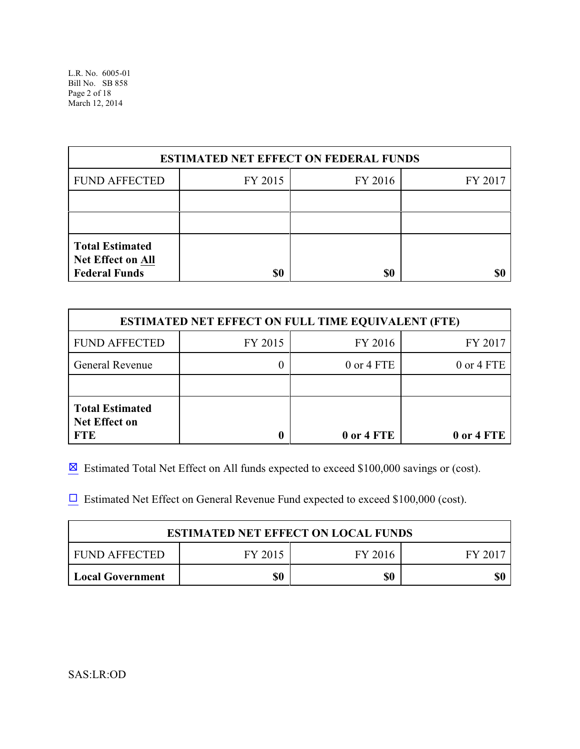| <b>ESTIMATED NET EFFECT ON FEDERAL FUNDS</b>                                      |         |         |         |  |  |
|-----------------------------------------------------------------------------------|---------|---------|---------|--|--|
| <b>FUND AFFECTED</b>                                                              | FY 2015 | FY 2016 | FY 2017 |  |  |
|                                                                                   |         |         |         |  |  |
|                                                                                   |         |         |         |  |  |
| <b>Total Estimated</b><br>Net Effect on All<br><b>Federal Funds</b><br>\$0<br>\$0 |         |         |         |  |  |

| <b>ESTIMATED NET EFFECT ON FULL TIME EQUIVALENT (FTE)</b>    |         |                |            |  |  |
|--------------------------------------------------------------|---------|----------------|------------|--|--|
| <b>FUND AFFECTED</b>                                         | FY 2015 | FY 2016        | FY 2017    |  |  |
| General Revenue                                              |         | $0$ or $4$ FTE | 0 or 4 FTE |  |  |
|                                                              |         |                |            |  |  |
| <b>Total Estimated</b><br><b>Net Effect on</b><br><b>FTE</b> |         | 0 or 4 FTE     | 0 or 4 FTE |  |  |

 $\boxtimes$  Estimated Total Net Effect on All funds expected to exceed \$100,000 savings or (cost).

 $\Box$  Estimated Net Effect on General Revenue Fund expected to exceed \$100,000 (cost).

| <b>ESTIMATED NET EFFECT ON LOCAL FUNDS</b>   |  |  |  |  |  |
|----------------------------------------------|--|--|--|--|--|
| FUND AFFECTED<br>FY 2016<br>FY 2015<br>FY 20 |  |  |  |  |  |
| \$0<br>\$0<br>\$(<br><b>Local Government</b> |  |  |  |  |  |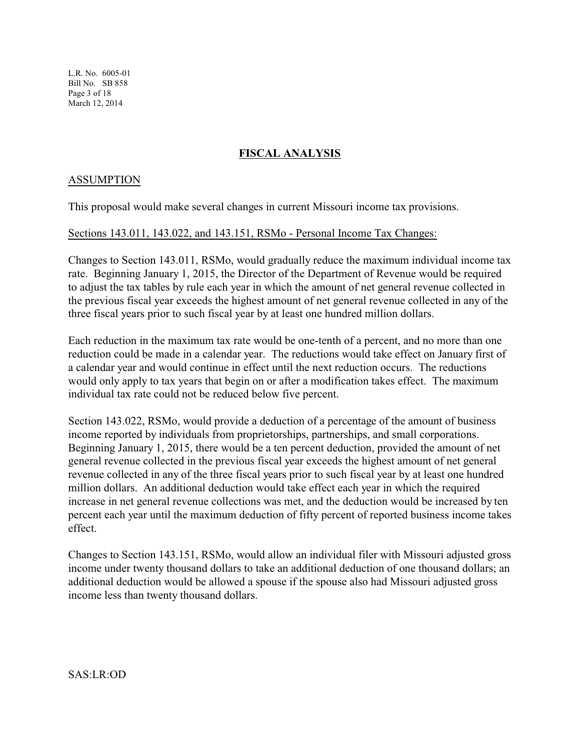L.R. No. 6005-01 Bill No. SB 858 Page 3 of 18 March 12, 2014

# **FISCAL ANALYSIS**

## ASSUMPTION

This proposal would make several changes in current Missouri income tax provisions.

#### Sections 143.011, 143.022, and 143.151, RSMo - Personal Income Tax Changes:

Changes to Section 143.011, RSMo, would gradually reduce the maximum individual income tax rate. Beginning January 1, 2015, the Director of the Department of Revenue would be required to adjust the tax tables by rule each year in which the amount of net general revenue collected in the previous fiscal year exceeds the highest amount of net general revenue collected in any of the three fiscal years prior to such fiscal year by at least one hundred million dollars.

Each reduction in the maximum tax rate would be one-tenth of a percent, and no more than one reduction could be made in a calendar year. The reductions would take effect on January first of a calendar year and would continue in effect until the next reduction occurs. The reductions would only apply to tax years that begin on or after a modification takes effect. The maximum individual tax rate could not be reduced below five percent.

Section 143.022, RSMo, would provide a deduction of a percentage of the amount of business income reported by individuals from proprietorships, partnerships, and small corporations. Beginning January 1, 2015, there would be a ten percent deduction, provided the amount of net general revenue collected in the previous fiscal year exceeds the highest amount of net general revenue collected in any of the three fiscal years prior to such fiscal year by at least one hundred million dollars. An additional deduction would take effect each year in which the required increase in net general revenue collections was met, and the deduction would be increased by ten percent each year until the maximum deduction of fifty percent of reported business income takes effect.

Changes to Section 143.151, RSMo, would allow an individual filer with Missouri adjusted gross income under twenty thousand dollars to take an additional deduction of one thousand dollars; an additional deduction would be allowed a spouse if the spouse also had Missouri adjusted gross income less than twenty thousand dollars.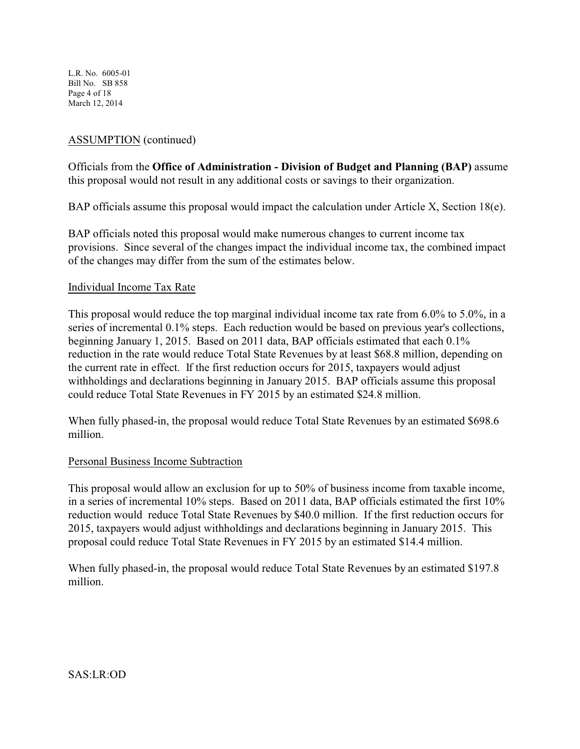L.R. No. 6005-01 Bill No. SB 858 Page 4 of 18 March 12, 2014

# ASSUMPTION (continued)

Officials from the **Office of Administration - Division of Budget and Planning (BAP)** assume this proposal would not result in any additional costs or savings to their organization.

BAP officials assume this proposal would impact the calculation under Article X, Section 18(e).

BAP officials noted this proposal would make numerous changes to current income tax provisions. Since several of the changes impact the individual income tax, the combined impact of the changes may differ from the sum of the estimates below.

## Individual Income Tax Rate

This proposal would reduce the top marginal individual income tax rate from 6.0% to 5.0%, in a series of incremental 0.1% steps. Each reduction would be based on previous year's collections, beginning January 1, 2015. Based on 2011 data, BAP officials estimated that each 0.1% reduction in the rate would reduce Total State Revenues by at least \$68.8 million, depending on the current rate in effect. If the first reduction occurs for 2015, taxpayers would adjust withholdings and declarations beginning in January 2015. BAP officials assume this proposal could reduce Total State Revenues in FY 2015 by an estimated \$24.8 million.

When fully phased-in, the proposal would reduce Total State Revenues by an estimated \$698.6 million.

## Personal Business Income Subtraction

This proposal would allow an exclusion for up to 50% of business income from taxable income, in a series of incremental 10% steps. Based on 2011 data, BAP officials estimated the first 10% reduction would reduce Total State Revenues by \$40.0 million. If the first reduction occurs for 2015, taxpayers would adjust withholdings and declarations beginning in January 2015. This proposal could reduce Total State Revenues in FY 2015 by an estimated \$14.4 million.

When fully phased-in, the proposal would reduce Total State Revenues by an estimated \$197.8 million.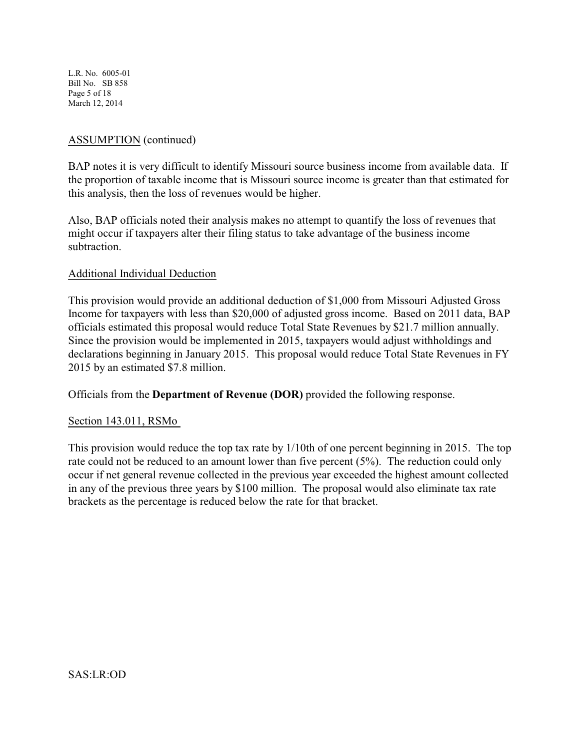L.R. No. 6005-01 Bill No. SB 858 Page 5 of 18 March 12, 2014

# ASSUMPTION (continued)

BAP notes it is very difficult to identify Missouri source business income from available data. If the proportion of taxable income that is Missouri source income is greater than that estimated for this analysis, then the loss of revenues would be higher.

Also, BAP officials noted their analysis makes no attempt to quantify the loss of revenues that might occur if taxpayers alter their filing status to take advantage of the business income subtraction.

## Additional Individual Deduction

This provision would provide an additional deduction of \$1,000 from Missouri Adjusted Gross Income for taxpayers with less than \$20,000 of adjusted gross income. Based on 2011 data, BAP officials estimated this proposal would reduce Total State Revenues by \$21.7 million annually. Since the provision would be implemented in 2015, taxpayers would adjust withholdings and declarations beginning in January 2015. This proposal would reduce Total State Revenues in FY 2015 by an estimated \$7.8 million.

Officials from the **Department of Revenue (DOR)** provided the following response.

## Section 143.011, RSMo

This provision would reduce the top tax rate by 1/10th of one percent beginning in 2015. The top rate could not be reduced to an amount lower than five percent (5%). The reduction could only occur if net general revenue collected in the previous year exceeded the highest amount collected in any of the previous three years by \$100 million. The proposal would also eliminate tax rate brackets as the percentage is reduced below the rate for that bracket.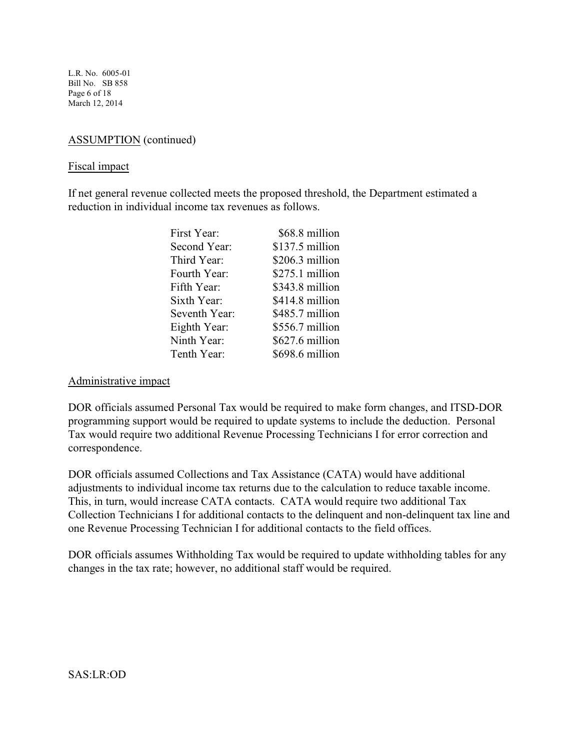L.R. No. 6005-01 Bill No. SB 858 Page 6 of 18 March 12, 2014

# ASSUMPTION (continued)

#### Fiscal impact

If net general revenue collected meets the proposed threshold, the Department estimated a reduction in individual income tax revenues as follows.

| First Year:   | \$68.8 million   |
|---------------|------------------|
| Second Year:  | $$137.5$ million |
| Third Year:   | $$206.3$ million |
| Fourth Year:  | $$275.1$ million |
| Fifth Year:   | \$343.8 million  |
| Sixth Year:   | \$414.8 million  |
| Seventh Year: | \$485.7 million  |
| Eighth Year:  | \$556.7 million  |
| Ninth Year:   | \$627.6 million  |
| Tenth Year:   | \$698.6 million  |
|               |                  |

## Administrative impact

DOR officials assumed Personal Tax would be required to make form changes, and ITSD-DOR programming support would be required to update systems to include the deduction. Personal Tax would require two additional Revenue Processing Technicians I for error correction and correspondence.

DOR officials assumed Collections and Tax Assistance (CATA) would have additional adjustments to individual income tax returns due to the calculation to reduce taxable income. This, in turn, would increase CATA contacts. CATA would require two additional Tax Collection Technicians I for additional contacts to the delinquent and non-delinquent tax line and one Revenue Processing Technician I for additional contacts to the field offices.

DOR officials assumes Withholding Tax would be required to update withholding tables for any changes in the tax rate; however, no additional staff would be required.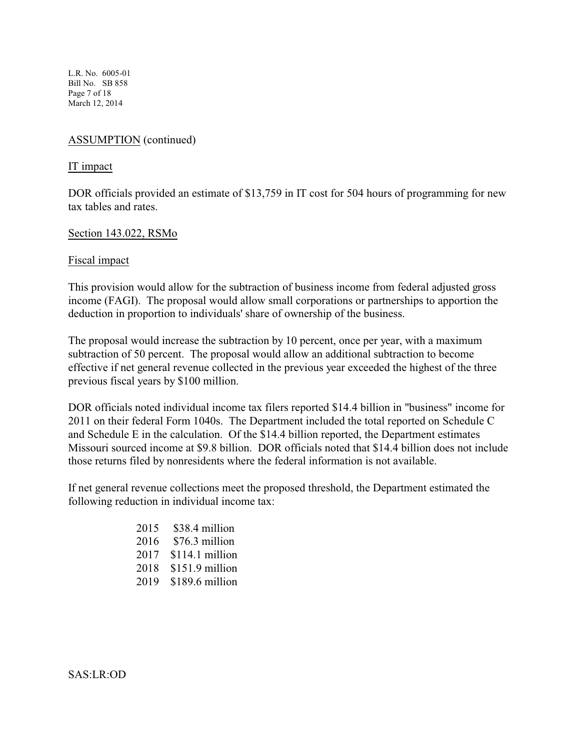L.R. No. 6005-01 Bill No. SB 858 Page 7 of 18 March 12, 2014

# ASSUMPTION (continued)

#### IT impact

DOR officials provided an estimate of \$13,759 in IT cost for 504 hours of programming for new tax tables and rates.

## Section 143.022, RSMo

#### Fiscal impact

This provision would allow for the subtraction of business income from federal adjusted gross income (FAGI). The proposal would allow small corporations or partnerships to apportion the deduction in proportion to individuals' share of ownership of the business.

The proposal would increase the subtraction by 10 percent, once per year, with a maximum subtraction of 50 percent. The proposal would allow an additional subtraction to become effective if net general revenue collected in the previous year exceeded the highest of the three previous fiscal years by \$100 million.

DOR officials noted individual income tax filers reported \$14.4 billion in "business" income for 2011 on their federal Form 1040s. The Department included the total reported on Schedule C and Schedule E in the calculation. Of the \$14.4 billion reported, the Department estimates Missouri sourced income at \$9.8 billion. DOR officials noted that \$14.4 billion does not include those returns filed by nonresidents where the federal information is not available.

If net general revenue collections meet the proposed threshold, the Department estimated the following reduction in individual income tax:

| 2015 | \$38.4 million  |
|------|-----------------|
| 2016 | \$76.3 million  |
| 2017 | \$114.1 million |
| 2018 | \$151.9 million |
| 2019 | \$189.6 million |

SAS:LR:OD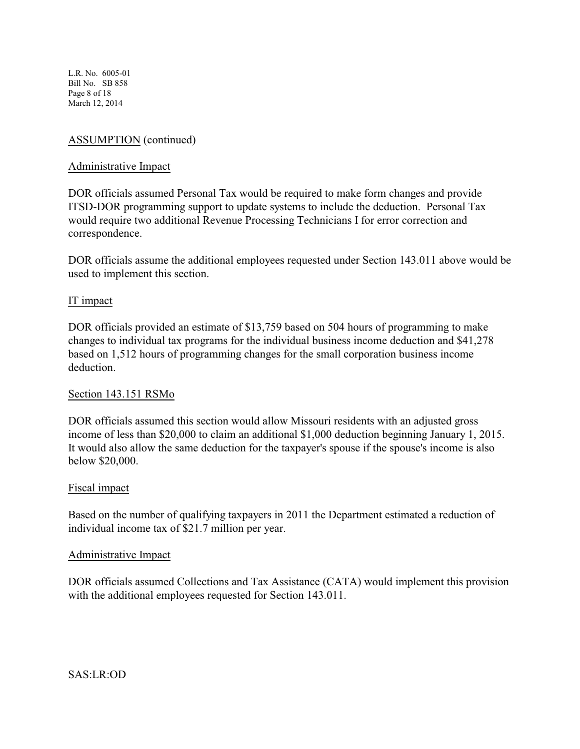L.R. No. 6005-01 Bill No. SB 858 Page 8 of 18 March 12, 2014

# ASSUMPTION (continued)

### Administrative Impact

DOR officials assumed Personal Tax would be required to make form changes and provide ITSD-DOR programming support to update systems to include the deduction. Personal Tax would require two additional Revenue Processing Technicians I for error correction and correspondence.

DOR officials assume the additional employees requested under Section 143.011 above would be used to implement this section.

#### IT impact

DOR officials provided an estimate of \$13,759 based on 504 hours of programming to make changes to individual tax programs for the individual business income deduction and \$41,278 based on 1,512 hours of programming changes for the small corporation business income deduction.

#### Section 143.151 RSMo

DOR officials assumed this section would allow Missouri residents with an adjusted gross income of less than \$20,000 to claim an additional \$1,000 deduction beginning January 1, 2015. It would also allow the same deduction for the taxpayer's spouse if the spouse's income is also below \$20,000.

#### Fiscal impact

Based on the number of qualifying taxpayers in 2011 the Department estimated a reduction of individual income tax of \$21.7 million per year.

#### Administrative Impact

DOR officials assumed Collections and Tax Assistance (CATA) would implement this provision with the additional employees requested for Section 143.011.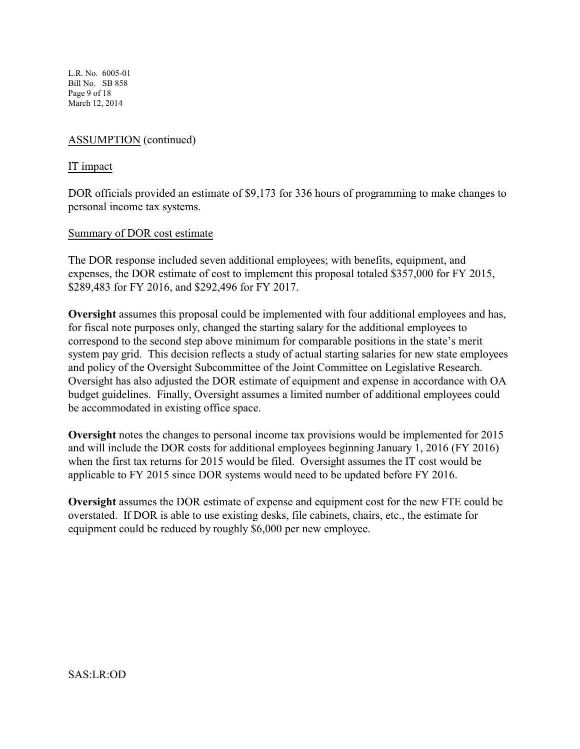L.R. No. 6005-01 Bill No. SB 858 Page 9 of 18 March 12, 2014

# ASSUMPTION (continued)

## IT impact

DOR officials provided an estimate of \$9,173 for 336 hours of programming to make changes to personal income tax systems.

## Summary of DOR cost estimate

The DOR response included seven additional employees; with benefits, equipment, and expenses, the DOR estimate of cost to implement this proposal totaled \$357,000 for FY 2015, \$289,483 for FY 2016, and \$292,496 for FY 2017.

**Oversight** assumes this proposal could be implemented with four additional employees and has, for fiscal note purposes only, changed the starting salary for the additional employees to correspond to the second step above minimum for comparable positions in the state's merit system pay grid. This decision reflects a study of actual starting salaries for new state employees and policy of the Oversight Subcommittee of the Joint Committee on Legislative Research. Oversight has also adjusted the DOR estimate of equipment and expense in accordance with OA budget guidelines. Finally, Oversight assumes a limited number of additional employees could be accommodated in existing office space.

**Oversight** notes the changes to personal income tax provisions would be implemented for 2015 and will include the DOR costs for additional employees beginning January 1, 2016 (FY 2016) when the first tax returns for 2015 would be filed. Oversight assumes the IT cost would be applicable to FY 2015 since DOR systems would need to be updated before FY 2016.

**Oversight** assumes the DOR estimate of expense and equipment cost for the new FTE could be overstated. If DOR is able to use existing desks, file cabinets, chairs, etc., the estimate for equipment could be reduced by roughly \$6,000 per new employee.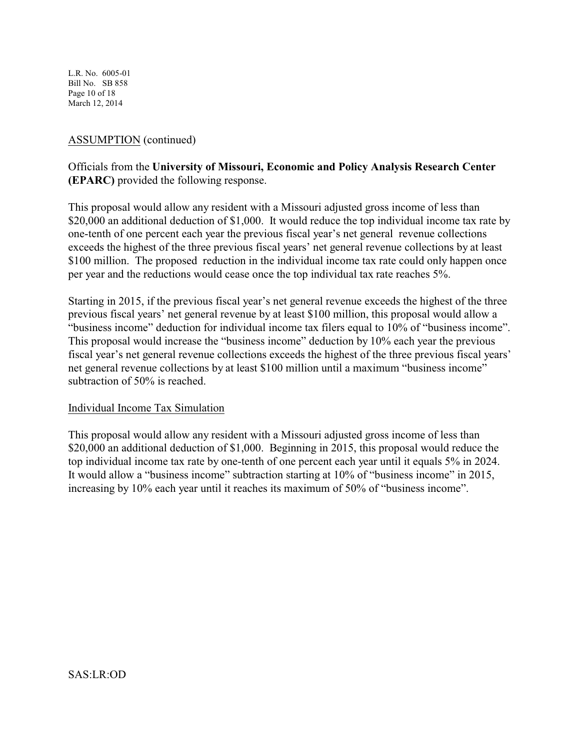L.R. No. 6005-01 Bill No. SB 858 Page 10 of 18 March 12, 2014

## ASSUMPTION (continued)

# Officials from the **University of Missouri, Economic and Policy Analysis Research Center (EPARC)** provided the following response.

This proposal would allow any resident with a Missouri adjusted gross income of less than \$20,000 an additional deduction of \$1,000. It would reduce the top individual income tax rate by one-tenth of one percent each year the previous fiscal year's net general revenue collections exceeds the highest of the three previous fiscal years' net general revenue collections by at least \$100 million. The proposed reduction in the individual income tax rate could only happen once per year and the reductions would cease once the top individual tax rate reaches 5%.

Starting in 2015, if the previous fiscal year's net general revenue exceeds the highest of the three previous fiscal years' net general revenue by at least \$100 million, this proposal would allow a "business income" deduction for individual income tax filers equal to 10% of "business income". This proposal would increase the "business income" deduction by 10% each year the previous fiscal year's net general revenue collections exceeds the highest of the three previous fiscal years' net general revenue collections by at least \$100 million until a maximum "business income" subtraction of 50% is reached.

## Individual Income Tax Simulation

This proposal would allow any resident with a Missouri adjusted gross income of less than \$20,000 an additional deduction of \$1,000. Beginning in 2015, this proposal would reduce the top individual income tax rate by one-tenth of one percent each year until it equals 5% in 2024. It would allow a "business income" subtraction starting at 10% of "business income" in 2015, increasing by 10% each year until it reaches its maximum of 50% of "business income".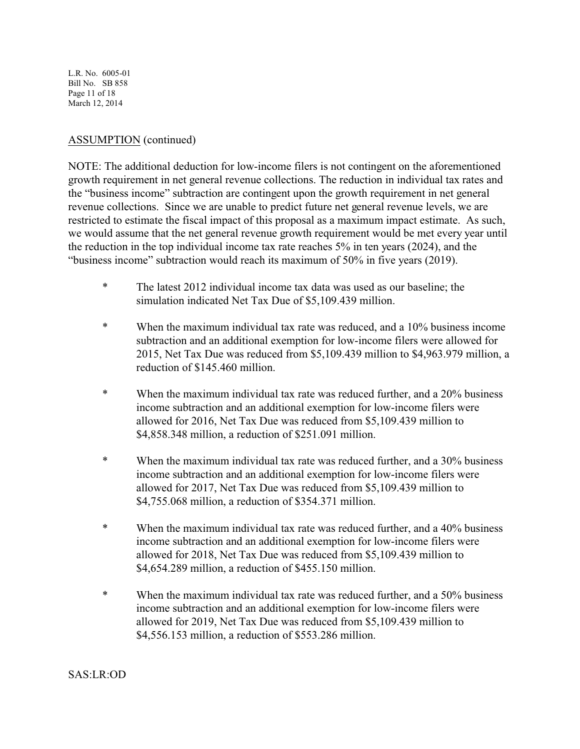L.R. No. 6005-01 Bill No. SB 858 Page 11 of 18 March 12, 2014

# ASSUMPTION (continued)

NOTE: The additional deduction for low-income filers is not contingent on the aforementioned growth requirement in net general revenue collections. The reduction in individual tax rates and the "business income" subtraction are contingent upon the growth requirement in net general revenue collections. Since we are unable to predict future net general revenue levels, we are restricted to estimate the fiscal impact of this proposal as a maximum impact estimate. As such, we would assume that the net general revenue growth requirement would be met every year until the reduction in the top individual income tax rate reaches 5% in ten years (2024), and the "business income" subtraction would reach its maximum of 50% in five years (2019).

- \* The latest 2012 individual income tax data was used as our baseline; the simulation indicated Net Tax Due of \$5,109.439 million.
- \* When the maximum individual tax rate was reduced, and a 10% business income subtraction and an additional exemption for low-income filers were allowed for 2015, Net Tax Due was reduced from \$5,109.439 million to \$4,963.979 million, a reduction of \$145.460 million.
- \* When the maximum individual tax rate was reduced further, and a 20% business income subtraction and an additional exemption for low-income filers were allowed for 2016, Net Tax Due was reduced from \$5,109.439 million to \$4,858.348 million, a reduction of \$251.091 million.
- \* When the maximum individual tax rate was reduced further, and a 30% business income subtraction and an additional exemption for low-income filers were allowed for 2017, Net Tax Due was reduced from \$5,109.439 million to \$4,755.068 million, a reduction of \$354.371 million.
- \* When the maximum individual tax rate was reduced further, and a 40% business income subtraction and an additional exemption for low-income filers were allowed for 2018, Net Tax Due was reduced from \$5,109.439 million to \$4,654.289 million, a reduction of \$455.150 million.
- \* When the maximum individual tax rate was reduced further, and a 50% business income subtraction and an additional exemption for low-income filers were allowed for 2019, Net Tax Due was reduced from \$5,109.439 million to \$4,556.153 million, a reduction of \$553.286 million.

## SAS:LR:OD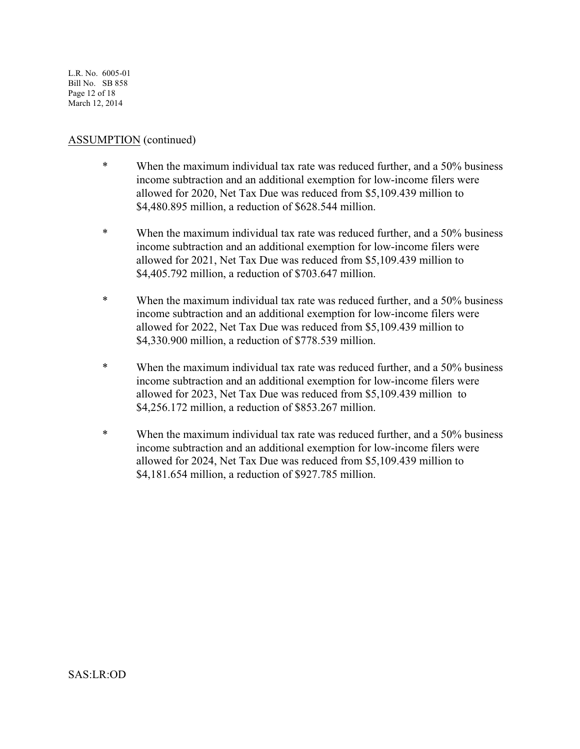L.R. No. 6005-01 Bill No. SB 858 Page 12 of 18 March 12, 2014

## ASSUMPTION (continued)

- \* When the maximum individual tax rate was reduced further, and a 50% business income subtraction and an additional exemption for low-income filers were allowed for 2020, Net Tax Due was reduced from \$5,109.439 million to \$4,480.895 million, a reduction of \$628.544 million.
- \* When the maximum individual tax rate was reduced further, and a 50% business income subtraction and an additional exemption for low-income filers were allowed for 2021, Net Tax Due was reduced from \$5,109.439 million to \$4,405.792 million, a reduction of \$703.647 million.
- \* When the maximum individual tax rate was reduced further, and a 50% business income subtraction and an additional exemption for low-income filers were allowed for 2022, Net Tax Due was reduced from \$5,109.439 million to \$4,330.900 million, a reduction of \$778.539 million.
- \* When the maximum individual tax rate was reduced further, and a 50% business income subtraction and an additional exemption for low-income filers were allowed for 2023, Net Tax Due was reduced from \$5,109.439 million to \$4,256.172 million, a reduction of \$853.267 million.
- \* When the maximum individual tax rate was reduced further, and a 50% business income subtraction and an additional exemption for low-income filers were allowed for 2024, Net Tax Due was reduced from \$5,109.439 million to \$4,181.654 million, a reduction of \$927.785 million.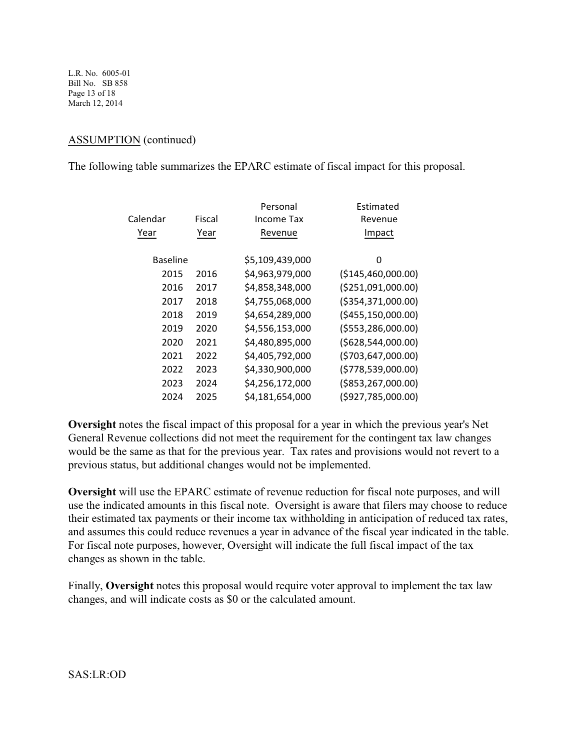L.R. No. 6005-01 Bill No. SB 858 Page 13 of 18 March 12, 2014

# ASSUMPTION (continued)

The following table summarizes the EPARC estimate of fiscal impact for this proposal.

|                 |        | Personal        | Estimated             |
|-----------------|--------|-----------------|-----------------------|
| Calendar        | Fiscal | Income Tax      | Revenue               |
| Year            | Year   | Revenue         | Impact                |
| <b>Baseline</b> |        | \$5,109,439,000 | 0                     |
| 2015            | 2016   | \$4,963,979,000 | ( \$145,460,000.00)   |
| 2016            | 2017   | \$4,858,348,000 | ( \$251,091,000.00)   |
| 2017            | 2018   | \$4,755,068,000 | ( \$354, 371, 000.00) |
| 2018            | 2019   | \$4,654,289,000 | ( \$455, 150, 000.00) |
| 2019            | 2020   | \$4,556,153,000 | ( \$553, 286, 000.00) |
| 2020            | 2021   | \$4,480,895,000 | ( \$628, 544, 000.00) |
| 2021            | 2022   | \$4,405,792,000 | (\$703,647,000.00)    |
| 2022            | 2023   | \$4,330,900,000 | (5778, 539, 000.00)   |
| 2023            | 2024   | \$4,256,172,000 | (\$853,267,000.00)    |
| 2024            | 2025   | \$4,181,654,000 | (\$927,785,000.00)    |
|                 |        |                 |                       |

**Oversight** notes the fiscal impact of this proposal for a year in which the previous year's Net General Revenue collections did not meet the requirement for the contingent tax law changes would be the same as that for the previous year. Tax rates and provisions would not revert to a previous status, but additional changes would not be implemented.

**Oversight** will use the EPARC estimate of revenue reduction for fiscal note purposes, and will use the indicated amounts in this fiscal note. Oversight is aware that filers may choose to reduce their estimated tax payments or their income tax withholding in anticipation of reduced tax rates, and assumes this could reduce revenues a year in advance of the fiscal year indicated in the table. For fiscal note purposes, however, Oversight will indicate the full fiscal impact of the tax changes as shown in the table.

Finally, **Oversight** notes this proposal would require voter approval to implement the tax law changes, and will indicate costs as \$0 or the calculated amount.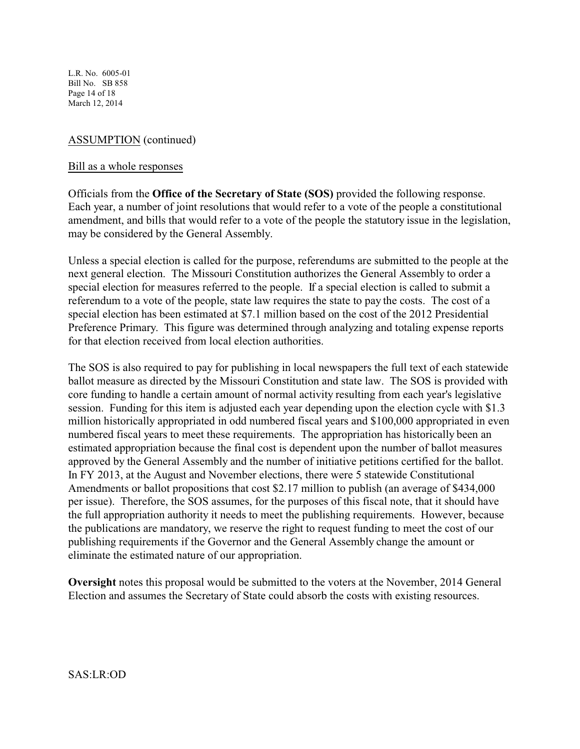L.R. No. 6005-01 Bill No. SB 858 Page 14 of 18 March 12, 2014

# ASSUMPTION (continued)

## Bill as a whole responses

Officials from the **Office of the Secretary of State (SOS)** provided the following response. Each year, a number of joint resolutions that would refer to a vote of the people a constitutional amendment, and bills that would refer to a vote of the people the statutory issue in the legislation, may be considered by the General Assembly.

Unless a special election is called for the purpose, referendums are submitted to the people at the next general election. The Missouri Constitution authorizes the General Assembly to order a special election for measures referred to the people. If a special election is called to submit a referendum to a vote of the people, state law requires the state to pay the costs. The cost of a special election has been estimated at \$7.1 million based on the cost of the 2012 Presidential Preference Primary. This figure was determined through analyzing and totaling expense reports for that election received from local election authorities.

The SOS is also required to pay for publishing in local newspapers the full text of each statewide ballot measure as directed by the Missouri Constitution and state law. The SOS is provided with core funding to handle a certain amount of normal activity resulting from each year's legislative session. Funding for this item is adjusted each year depending upon the election cycle with \$1.3 million historically appropriated in odd numbered fiscal years and \$100,000 appropriated in even numbered fiscal years to meet these requirements. The appropriation has historically been an estimated appropriation because the final cost is dependent upon the number of ballot measures approved by the General Assembly and the number of initiative petitions certified for the ballot. In FY 2013, at the August and November elections, there were 5 statewide Constitutional Amendments or ballot propositions that cost \$2.17 million to publish (an average of \$434,000 per issue). Therefore, the SOS assumes, for the purposes of this fiscal note, that it should have the full appropriation authority it needs to meet the publishing requirements. However, because the publications are mandatory, we reserve the right to request funding to meet the cost of our publishing requirements if the Governor and the General Assembly change the amount or eliminate the estimated nature of our appropriation.

**Oversight** notes this proposal would be submitted to the voters at the November, 2014 General Election and assumes the Secretary of State could absorb the costs with existing resources.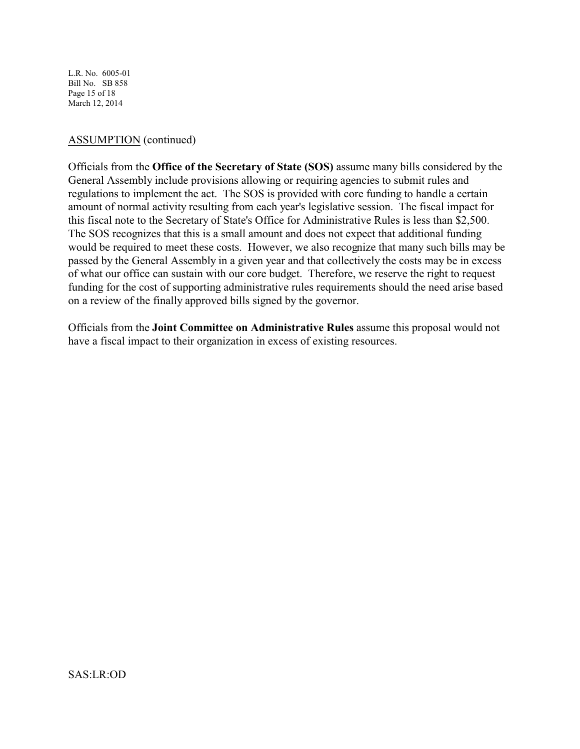L.R. No. 6005-01 Bill No. SB 858 Page 15 of 18 March 12, 2014

## ASSUMPTION (continued)

Officials from the **Office of the Secretary of State (SOS)** assume many bills considered by the General Assembly include provisions allowing or requiring agencies to submit rules and regulations to implement the act. The SOS is provided with core funding to handle a certain amount of normal activity resulting from each year's legislative session. The fiscal impact for this fiscal note to the Secretary of State's Office for Administrative Rules is less than \$2,500. The SOS recognizes that this is a small amount and does not expect that additional funding would be required to meet these costs. However, we also recognize that many such bills may be passed by the General Assembly in a given year and that collectively the costs may be in excess of what our office can sustain with our core budget. Therefore, we reserve the right to request funding for the cost of supporting administrative rules requirements should the need arise based on a review of the finally approved bills signed by the governor.

Officials from the **Joint Committee on Administrative Rules** assume this proposal would not have a fiscal impact to their organization in excess of existing resources.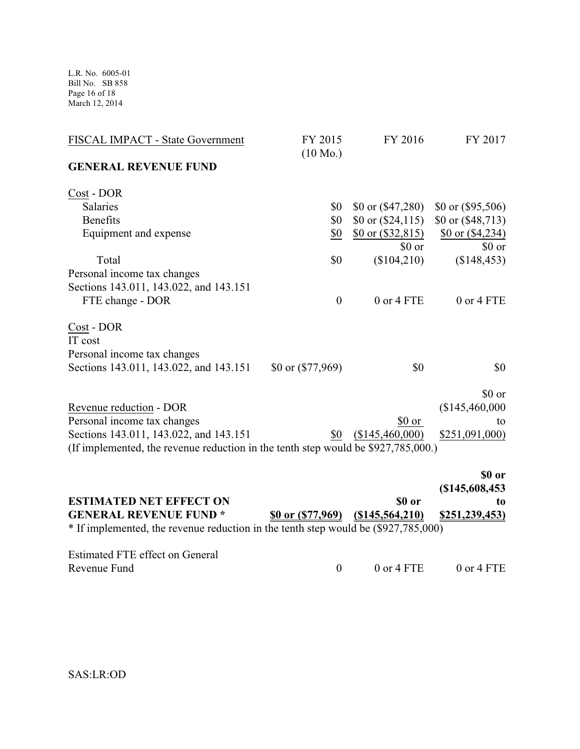L.R. No. 6005-01 Bill No. SB 858 Page 16 of 18 March 12, 2014

| <b>ESTIMATED NET EFFECT ON</b>                                                    |                            | \$0 or              | t <sub>0</sub>             |
|-----------------------------------------------------------------------------------|----------------------------|---------------------|----------------------------|
|                                                                                   |                            |                     | \$0 or<br>(\$145,608,453   |
| (If implemented, the revenue reduction in the tenth step would be \$927,785,000.) |                            |                     |                            |
| Sections 143.011, 143.022, and 143.151                                            | \$0                        | (\$145,460,000)     | \$251,091,000)             |
| Personal income tax changes                                                       |                            | $$0 \text{ or}$     | to                         |
| Revenue reduction - DOR                                                           |                            |                     | (\$145,460,000             |
|                                                                                   |                            |                     | \$0 or                     |
| Sections 143.011, 143.022, and 143.151                                            | $$0 \text{ or } ($77,969)$ | \$0                 | \$0                        |
| Personal income tax changes                                                       |                            |                     |                            |
| IT cost                                                                           |                            |                     |                            |
| Cost - DOR                                                                        |                            |                     |                            |
| FTE change - DOR                                                                  | $\boldsymbol{0}$           | 0 or 4 FTE          | 0 or 4 FTE                 |
| Sections 143.011, 143.022, and 143.151                                            |                            |                     |                            |
| Personal income tax changes                                                       |                            |                     |                            |
| Total                                                                             | \$0                        | (\$104,210)         | (\$148, 453)               |
|                                                                                   |                            | \$0 or              | \$0 or                     |
| Equipment and expense                                                             | \$0                        | \$0 or $(\$32,815)$ | \$0 or $( $4,234)$         |
| <b>Benefits</b>                                                                   | \$0                        | \$0 or $(\$24,115)$ | \$0 or $( $48, 713)$       |
| Cost - DOR<br>Salaries                                                            | \$0                        | \$0 or $( $47,280)$ | $$0 \text{ or } ($95,506)$ |
| <b>GENERAL REVENUE FUND</b>                                                       |                            |                     |                            |
|                                                                                   | $(10 \text{ Mo.})$         |                     |                            |
| FISCAL IMPACT - State Government                                                  | FY 2015                    | FY 2016             | FY 2017                    |
|                                                                                   |                            |                     |                            |

|                                                                                    |                                       | (3145,000,453 |
|------------------------------------------------------------------------------------|---------------------------------------|---------------|
| <b>ESTIMATED NET EFFECT ON</b>                                                     | -SO or                                | to            |
| <b>GENERAL REVENUE FUND*</b>                                                       | \$0 or $($ 77,969) $($ \$145,564,210) | \$251,239,453 |
| * If implemented, the revenue reduction in the tenth step would be (\$927,785,000) |                                       |               |
| Estimated FTE effect on General                                                    |                                       |               |

Revenue Fund 0 0 0 0 0 0 0 0 14 FTE 0 or 4 FTE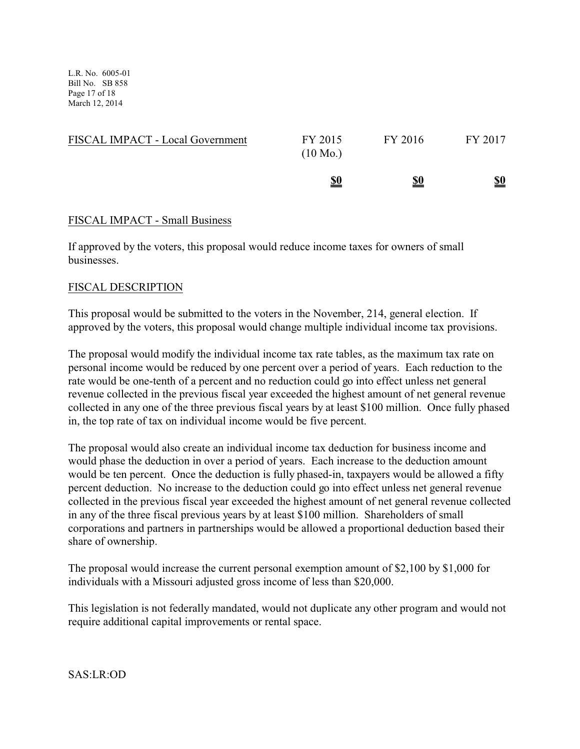L.R. No. 6005-01 Bill No. SB 858 Page 17 of 18 March 12, 2014

|                                  | \$0                           | \$0     | \$0     |
|----------------------------------|-------------------------------|---------|---------|
| FISCAL IMPACT - Local Government | FY 2015<br>$(10 \text{ Mo.})$ | FY 2016 | FY 2017 |

## FISCAL IMPACT - Small Business

If approved by the voters, this proposal would reduce income taxes for owners of small businesses.

## FISCAL DESCRIPTION

This proposal would be submitted to the voters in the November, 214, general election. If approved by the voters, this proposal would change multiple individual income tax provisions.

The proposal would modify the individual income tax rate tables, as the maximum tax rate on personal income would be reduced by one percent over a period of years. Each reduction to the rate would be one-tenth of a percent and no reduction could go into effect unless net general revenue collected in the previous fiscal year exceeded the highest amount of net general revenue collected in any one of the three previous fiscal years by at least \$100 million. Once fully phased in, the top rate of tax on individual income would be five percent.

The proposal would also create an individual income tax deduction for business income and would phase the deduction in over a period of years. Each increase to the deduction amount would be ten percent. Once the deduction is fully phased-in, taxpayers would be allowed a fifty percent deduction. No increase to the deduction could go into effect unless net general revenue collected in the previous fiscal year exceeded the highest amount of net general revenue collected in any of the three fiscal previous years by at least \$100 million. Shareholders of small corporations and partners in partnerships would be allowed a proportional deduction based their share of ownership.

The proposal would increase the current personal exemption amount of \$2,100 by \$1,000 for individuals with a Missouri adjusted gross income of less than \$20,000.

This legislation is not federally mandated, would not duplicate any other program and would not require additional capital improvements or rental space.

SAS:LR:OD